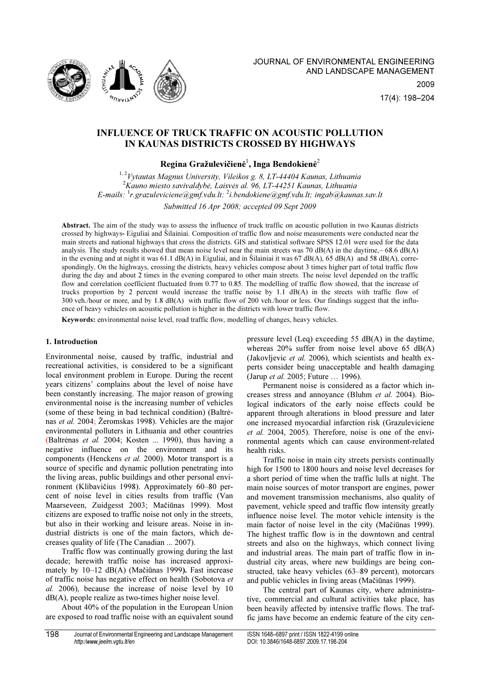

# INFLUENCE OF TRUCK TRAFFIC ON ACOUSTIC POLLUTION IN KAUNAS DISTRICTS CROSSED BY HIGHWAYS

# Regina Gražulevičienė $^{\rm l}$ , Inga Bendokienė $^{\rm 2}$

 $1, 2$ Vytautas Magnus University, Vileikos g. 8, LT-44404 Kaunas, Lithuania  $2$ Kauno miesto savivaldybė, Laisvės al. 96, LT-44251 Kaunas, Lithuania E-mails:  $^1$ r.grazuleviciene@gmf.vdu.lt;  $^2$ i.bendokiene@gmf.vdu.lt; ingab@kaunas.sav.lt Submitted 16 Apr 2008; accepted 09 Sept 2009

Abstract. The aim of the study was to assess the influence of truck traffic on acoustic pollution in two Kaunas districts crossed by highways- Eiguliai and Šilainiai. Composition of traffic flow and noise measurements were conducted near the main streets and national highways that cross the districts. GIS and statistical software SPSS 12.01 were used for the data analysis. The study results showed that mean noise level near the main streets was 70 dB(A) in the daytime, $-68.6$  dB(A) in the evening and at night it was 61.1 dB(A) in Eiguliai, and in Šilainiai it was 67 dB(A), 65 dB(A) and 58 dB(A), correspondingly. On the highways, crossing the districts, heavy vehicles compose about 3 times higher part of total traffic flow during the day and about 2 times in the evening compared to other main streets. The noise level depended on the traffic flow and correlation coefficient fluctuated from 0.77 to 0.85. The modelling of traffic flow showed, that the increase of trucks proportion by 2 percent would increase the traffic noise by 1.1 dB(A) in the streets with traffic flow of 300 veh./hour or more, and by 1.8 dB(A) with traffic flow of 200 veh./hour or less. Our findings suggest that the influence of heavy vehicles on acoustic pollution is higher in the districts with lower traffic flow.

Keywords: environmental noise level, road traffic flow, modelling of changes, heavy vehicles.

## 1. Introduction

Environmental noise, caused by traffic, industrial and recreational activities, is considered to be a significant local environment problem in Europe. During the recent years citizens' complains about the level of noise have been constantly increasing. The major reason of growing environmental noise is the increasing number of vehicles (some of these being in bad technical condition) (Baltrėnas et al. 2004; Žeromskas 1998). Vehicles are the major environmental polluters in Lithuania and other countries (Baltrėnas et al. 2004; Kosten ... 1990), thus having a negative influence on the environment and its components (Henckens et al. 2000). Motor transport is a source of specific and dynamic pollution penetrating into the living areas, public buildings and other personal environment (Klibavičius 1998). Approximately 60–80 percent of noise level in cities results from traffic (Van Maarseveen, Zuidgesst 2003; Mačiūnas 1999). Most citizens are exposed to traffic noise not only in the streets, but also in their working and leisure areas. Noise in industrial districts is one of the main factors, which decreases quality of life (The Canadian ... 2007).

Traffic flow was continually growing during the last decade; herewith traffic noise has increased approximately by 10–12 dB(A) (Mačiūnas 1999). Fast increase of traffic noise has negative effect on health (Sobotova et al. 2006), because the increase of noise level by 10 dB(A), people realize as two-times higher noise level.

About 40% of the population in the European Union are exposed to road traffic noise with an equivalent sound

pressure level (Leq) exceeding 55 dB(A) in the daytime, whereas 20% suffer from noise level above 65 dB(A) (Jakovljevic et al. 2006), which scientists and health experts consider being unacceptable and health damaging (Jarup et al. 2005; Future … 1996).

Permanent noise is considered as a factor which increases stress and annoyance (Bluhm et al. 2004). Biological indicators of the early noise effects could be apparent through alterations in blood pressure and later one increased myocardial infarction risk (Grazuleviciene et al. 2004, 2005). Therefore, noise is one of the environmental agents which can cause environment-related health risks.

Traffic noise in main city streets persists continually high for 1500 to 1800 hours and noise level decreases for a short period of time when the traffic lulls at night. The main noise sources of motor transport are engines, power and movement transmission mechanisms, also quality of pavement, vehicle speed and traffic flow intensity greatly influence noise level. The motor vehicle intensity is the main factor of noise level in the city (Mačiūnas 1999). The highest traffic flow is in the downtown and central streets and also on the highways, which connect living and industrial areas. The main part of traffic flow in industrial city areas, where new buildings are being constructed, take heavy vehicles (63–89 percent), motorcars and public vehicles in living areas (Mačiūnas 1999).

The central part of Kaunas city, where administrative, commercial and cultural activities take place, has been heavily affected by intensive traffic flows. The traffic jams have become an endemic feature of the city cen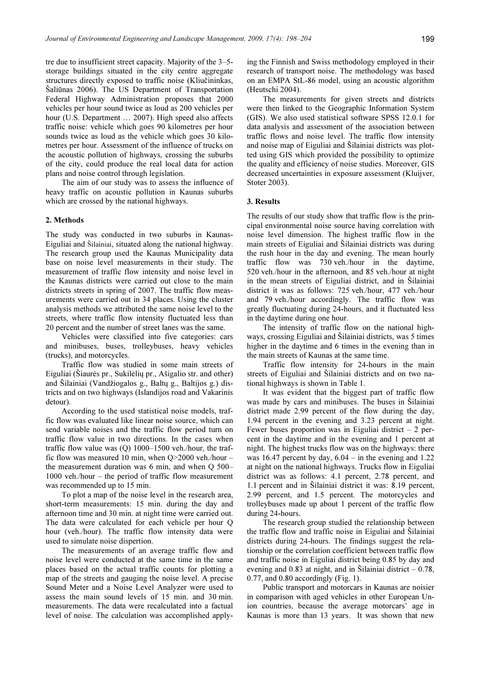tre due to insufficient street capacity. Majority of the 3–5 storage buildings situated in the city centre aggregate structures directly exposed to traffic noise (Kliučininkas, Saliūnas 2006). The US Department of Transportation Federal Highway Administration proposes that 2000 vehicles per hour sound twice as loud as 200 vehicles per hour (U.S. Department ... 2007). High speed also affects traffic noise: vehicle which goes 90 kilometres per hour sounds twice as loud as the vehicle which goes 30 kilometres per hour. Assessment of the influence of trucks on the acoustic pollution of highways, crossing the suburbs of the city, could produce the real local data for action plans and noise control through legislation.

The aim of our study was to assess the influence of heavy traffic on acoustic pollution in Kaunas suburbs which are crossed by the national highways.

### 2. Methods

The study was conducted in two suburbs in Kaunas-Eiguliai and Šilainiai, situated along the national highway. The research group used the Kaunas Municipality data base on noise level measurements in their study. The measurement of traffic flow intensity and noise level in the Kaunas districts were carried out close to the main districts streets in spring of 2007. The traffic flow measurements were carried out in 34 places. Using the cluster analysis methods we attributed the same noise level to the streets, where traffic flow intensity fluctuated less than 20 percent and the number of street lanes was the same.

Vehicles were classified into five categories: cars and minibuses, buses, trolleybuses, heavy vehicles (trucks), and motorcycles.

Traffic flow was studied in some main streets of Eiguliai (Šiaurės pr., Sukilėlių pr., Ašigalio str. and other) and Šilainiai (Vandžiogalos g., Baltų g., Baltijos g.) districts and on two highways (Islandijos road and Vakarinis detour).

According to the used statistical noise models, traffic flow was evaluated like linear noise source, which can send variable noises and the traffic flow period turn on traffic flow value in two directions. In the cases when traffic flow value was (Q) 1000–1500 veh./hour, the traffic flow was measured 10 min, when Q>2000 veh./hour – the measurement duration was 6 min, and when Q 500– 1000 veh./hour – the period of traffic flow measurement was recommended up to 15 min.

To plot a map of the noise level in the research area, short-term measurements: 15 min. during the day and afternoon time and 30 min. at night time were carried out. The data were calculated for each vehicle per hour Q hour (veh./hour). The traffic flow intensity data were used to simulate noise dispertion.

The measurements of an average traffic flow and noise level were conducted at the same time in the same places based on the actual traffic counts for plotting a map of the streets and gauging the noise level. A precise Sound Meter and a Noise Level Analyzer were used to assess the main sound levels of 15 min. and 30 min. measurements. The data were recalculated into a factual level of noise. The calculation was accomplished applying the Finnish and Swiss methodology employed in their research of transport noise. The methodology was based on an EMPA StL-86 model, using an acoustic algorithm (Heutschi 2004).

The measurements for given streets and districts were then linked to the Geographic Information System (GIS). We also used statistical software SPSS 12.0.1 for data analysis and assessment of the association between traffic flows and noise level. The traffic flow intensity and noise map of Eiguliai and Šilainiai districts was plotted using GIS which provided the possibility to optimize the quality and efficiency of noise studies. Moreover, GIS decreased uncertainties in exposure assessment (Kluijver, Stoter 2003).

### 3. Results

The results of our study show that traffic flow is the principal environmental noise source having correlation with noise level dimension. The highest traffic flow in the main streets of Eiguliai and Šilainiai districts was during the rush hour in the day and evening. The mean hourly traffic flow was 730 veh./hour in the daytime, 520 veh./hour in the afternoon, and 85 veh./hour at night in the mean streets of Eiguliai district, and in Šilainiai district it was as follows: 725 veh./hour, 477 veh./hour and 79 veh./hour accordingly. The traffic flow was greatly fluctuating during 24-hours, and it fluctuated less in the daytime during one hour.

The intensity of traffic flow on the national highways, crossing Eiguliai and Silainiai districts, was 5 times higher in the daytime and 6 times in the evening than in the main streets of Kaunas at the same time.

Traffic flow intensity for 24-hours in the main streets of Eiguliai and Šilainiai districts and on two national highways is shown in Table 1.

It was evident that the biggest part of traffic flow was made by cars and minibuses. The buses in Šilainiai district made 2.99 percent of the flow during the day, 1.94 percent in the evening and 3.23 percent at night. Fewer buses proportion was in Eiguliai district  $-2$  percent in the daytime and in the evening and 1 percent at night. The highest trucks flow was on the highways: there was 16.47 percent by day,  $6.04 - in$  the evening and 1.22 at night on the national highways. Trucks flow in Eiguliai district was as follows: 4.1 percent, 2.78 percent, and 1.1 percent and in Šilainiai district it was: 8.19 percent, 2.99 percent, and 1.5 percent. The motorcycles and trolleybuses made up about 1 percent of the traffic flow during 24-hours.

The research group studied the relationship between the traffic flow and traffic noise in Eiguliai and Šilainiai districts during 24-hours. The findings suggest the relationship or the correlation coefficient between traffic flow and traffic noise in Eiguliai district being 0.85 by day and evening and 0.83 at night, and in Šilainiai district  $-0.78$ , 0.77, and 0.80 accordingly (Fig. 1).

Public transport and motorcars in Kaunas are noisier in comparison with aged vehicles in other European Union countries, because the average motorcars' age in Kaunas is more than 13 years. It was shown that new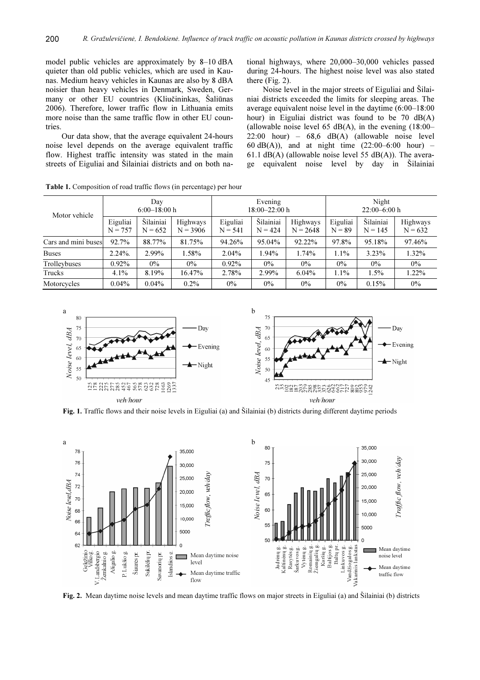model public vehicles are approximately by 8–10 dBA quieter than old public vehicles, which are used in Kaunas. Medium heavy vehicles in Kaunas are also by 8 dBA noisier than heavy vehicles in Denmark, Sweden, Germany or other EU countries (Kliučininkas, Šaliūnas 2006). Therefore, lower traffic flow in Lithuania emits more noise than the same traffic flow in other EU countries.

Our data show, that the average equivalent 24-hours noise level depends on the average equivalent traffic flow. Highest traffic intensity was stated in the main streets of Eiguliai and Šilainiai districts and on both national highways, where 20,000–30,000 vehicles passed during 24-hours. The highest noise level was also stated there (Fig. 2).

Noise level in the major streets of Eiguliai and Šilainiai districts exceeded the limits for sleeping areas. The average equivalent noise level in the daytime (6:00–18:00 hour) in Eiguliai district was found to be 70 dB(A) (allowable noise level 65 dB(A), in the evening  $(18:00-$ 22:00 hour) – 68,6 dB(A) (allowable noise level 60 dB(A)), and at night time  $(22:00-6:00$  hour) – 61.1 dB(A) (allowable noise level 55 dB(A)). The average equivalent noise level by day in Šilainiai

| Motor vehicle       | Day<br>$6:00-18:00h$  |                        |                        | Evening<br>$18:00 - 22:00 h$ |                        |                        | Night<br>$22:00-6:00h$ |                        |                       |
|---------------------|-----------------------|------------------------|------------------------|------------------------------|------------------------|------------------------|------------------------|------------------------|-----------------------|
|                     | Eiguliai<br>$N = 757$ | Šilainiai<br>$N = 652$ | Highways<br>$N = 3906$ | Eiguliai<br>$N = 541$        | Šilainiai<br>$N = 424$ | Highways<br>$N = 2648$ | Eiguliai<br>$N = 89$   | Šilainiai<br>$N = 145$ | Highways<br>$N = 632$ |
| Cars and mini buses | 92.7%                 | 88.77%                 | 81.75%                 | 94.26%                       | 95.04%                 | 92.22%                 | 97.8%                  | 95.18%                 | 97.46%                |
| <b>Buses</b>        | $2.24\%$ .            | 2.99%                  | 1.58%                  | $2.04\%$                     | 1.94%                  | 1.74%                  | $1.1\%$                | 3.23%                  | 1.32%                 |
| Trolleybuses        | $0.92\%$              | $0\%$                  | $0\%$                  | $0.92\%$                     | $0\%$                  | $0\%$                  | $0\%$                  | $0\%$                  | $0\%$                 |
| Trucks              | 4.1%                  | 8.19%                  | 16.47%                 | 2.78%                        | 2.99%                  | $6.04\%$               | 1.1%                   | 1.5%                   | 1.22%                 |
| Motorcycles         | $0.04\%$              | $0.04\%$               | $0.2\%$                | $0\%$                        | $0\%$                  | $0\%$                  | $0\%$                  | 0.15%                  | $0\%$                 |

Table 1. Composition of road traffic flows (in percentage) per hour



Fig. 1. Traffic flows and their noise levels in Eiguliai (a) and Šilainiai (b) districts during different daytime periods



Fig. 2. Mean daytime noise levels and mean daytime traffic flows on major streets in Eiguliai (a) and Šilainiai (b) districts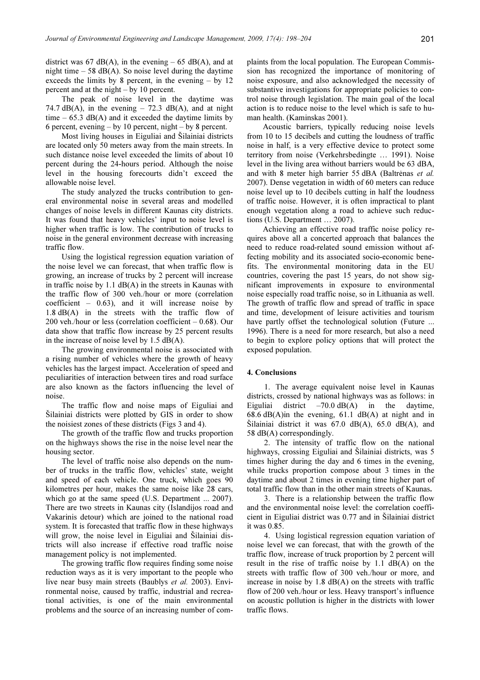district was 67 dB(A), in the evening  $-65$  dB(A), and at night time  $-58$  dB(A). So noise level during the daytime exceeds the limits by 8 percent, in the evening  $-$  by 12 percent and at the night – by 10 percent.

The peak of noise level in the daytime was 74.7 dB(A), in the evening  $-$  72.3 dB(A), and at night time  $-65.3$  dB(A) and it exceeded the daytime limits by 6 percent, evening – by 10 percent, night – by 8 percent.

Most living houses in Eiguliai and Šilainiai districts are located only 50 meters away from the main streets. In such distance noise level exceeded the limits of about 10 percent during the 24-hours period. Although the noise level in the housing forecourts didn't exceed the allowable noise level.

The study analyzed the trucks contribution to general environmental noise in several areas and modelled changes of noise levels in different Kaunas city districts. It was found that heavy vehicles' input to noise level is higher when traffic is low. The contribution of trucks to noise in the general environment decrease with increasing traffic flow.

Using the logistical regression equation variation of the noise level we can forecast, that when traffic flow is growing, an increase of trucks by 2 percent will increase in traffic noise by 1.1 dB(A) in the streets in Kaunas with the traffic flow of 300 veh./hour or more (correlation coefficient  $-$  0.63), and it will increase noise by 1.8 dB(A) in the streets with the traffic flow of 200 veh./hour or less (correlation coefficient – 0.68). Our data show that traffic flow increase by 25 percent results in the increase of noise level by 1.5 dB(A).

The growing environmental noise is associated with a rising number of vehicles where the growth of heavy vehicles has the largest impact. Acceleration of speed and peculiarities of interaction between tires and road surface are also known as the factors influencing the level of noise.

The traffic flow and noise maps of Eiguliai and Šilainiai districts were plotted by GIS in order to show the noisiest zones of these districts (Figs 3 and 4).

The growth of the traffic flow and trucks proportion on the highways shows the rise in the noise level near the housing sector.

The level of traffic noise also depends on the number of trucks in the traffic flow, vehicles' state, weight and speed of each vehicle. One truck, which goes 90 kilometres per hour, makes the same noise like 28 cars, which go at the same speed (U.S. Department ... 2007). There are two streets in Kaunas city (Islandijos road and Vakarinis detour) which are joined to the national road system. It is forecasted that traffic flow in these highways will grow, the noise level in Eiguliai and Šilainiai districts will also increase if effective road traffic noise management policy is not implemented.

The growing traffic flow requires finding some noise reduction ways as it is very important to the people who live near busy main streets (Baublys et al. 2003). Environmental noise, caused by traffic, industrial and recreational activities, is one of the main environmental problems and the source of an increasing number of complaints from the local population. The European Commission has recognized the importance of monitoring of noise exposure, and also acknowledged the necessity of substantive investigations for appropriate policies to control noise through legislation. The main goal of the local action is to reduce noise to the level which is safe to human health. (Kaminskas 2001).

Acoustic barriers, typically reducing noise levels from 10 to 15 decibels and cutting the loudness of traffic noise in half, is a very effective device to protect some territory from noise (Verkehrsbedingte … 1991). Noise level in the living area without barriers would be 63 dBA, and with 8 meter high barrier 55 dBA (Baltrėnas et al. 2007). Dense vegetation in width of 60 meters can reduce noise level up to 10 decibels cutting in half the loudness of traffic noise. However, it is often impractical to plant enough vegetation along a road to achieve such reductions (U.S. Department … 2007).

Achieving an effective road traffic noise policy requires above all a concerted approach that balances the need to reduce road-related sound emission without affecting mobility and its associated socio-economic benefits. The environmental monitoring data in the EU countries, covering the past 15 years, do not show significant improvements in exposure to environmental noise especially road traffic noise, so in Lithuania as well. The growth of traffic flow and spread of traffic in space and time, development of leisure activities and tourism have partly offset the technological solution (Future ... 1996). There is a need for more research, but also a need to begin to explore policy options that will protect the exposed population.

#### 4. Conclusions

1. The average equivalent noise level in Kaunas districts, crossed by national highways was as follows: in Eiguliai district  $-70.0$  dB(A) in the daytime,  $68.6$  dB(A)in the evening,  $61.1$  dB(A) at night and in Šilainiai district it was 67.0 dB(A), 65.0 dB(A), and 58 dB(A) correspondingly.

2. The intensity of traffic flow on the national highways, crossing Eiguliai and Šilainiai districts, was 5 times higher during the day and 6 times in the evening, while trucks proportion compose about 3 times in the daytime and about 2 times in evening time higher part of total traffic flow than in the other main streets of Kaunas.

3. There is a relationship between the traffic flow and the environmental noise level: the correlation coefficient in Eiguliai district was 0.77 and in Šilainiai district it was 0.85.

4. Using logistical regression equation variation of noise level we can forecast, that with the growth of the traffic flow, increase of truck proportion by 2 percent will result in the rise of traffic noise by 1.1 dB(A) on the streets with traffic flow of 300 veh./hour or more, and increase in noise by  $1.8$  dB(A) on the streets with traffic flow of 200 veh./hour or less. Heavy transport's influence on acoustic pollution is higher in the districts with lower traffic flows.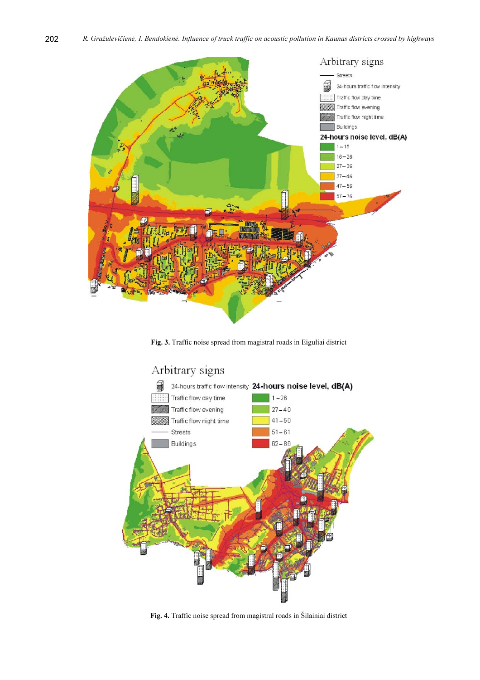

Fig. 3. Traffic noise spread from magistral roads in Eiguliai district



Fig. 4. Traffic noise spread from magistral roads in Šilainiai district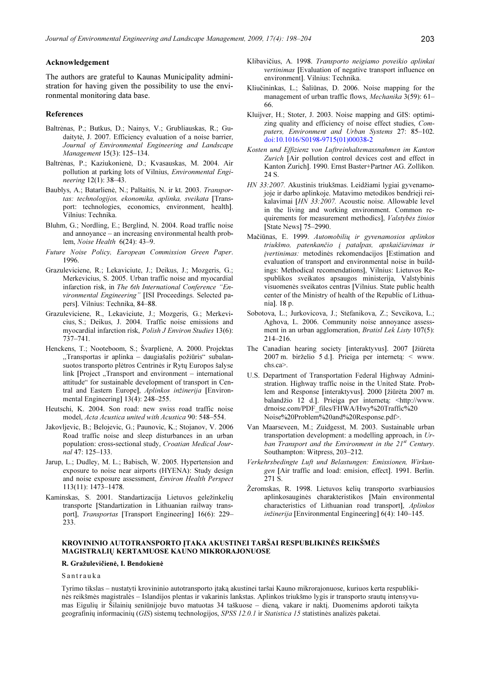#### Acknowledgement

The authors are grateful to Kaunas Municipality administration for having given the possibility to use the environmental monitoring data base.

#### References

- Baltrėnas, P.; Butkus, D.; Nainys, V.; Grubliauskas, R.; Gudaitytė, J. 2007. Efficiency evaluation of a noise barrier, Journal of Environmental Engineering and Landscape Management 15(3): 125–134.
- Baltrėnas, P.; Kaziukonienė, D.; Kvasauskas, M. 2004. Air pollution at parking lots of Vilnius, Environmental Engineering 12(1): 38–43.
- Baublys, A.; Batarlienė, N.; Palšaitis, N. ir kt. 2003. Transportas: technologijos, ekonomika, aplinka, sveikata [Transport: technologies, economics, environment, health]. Vilnius: Technika.
- Bluhm, G.; Nordling, E.; Berglind, N. 2004. Road traffic noise and annoyance – an increasing environmental health problem, Noise Health 6(24): 43–9.
- Future Noise Policy, European Commission Green Paper. 1996.
- Grazuleviciene, R.; Lekaviciute, J.; Deikus, J.; Mozgeris, G.; Merkevicius, S. 2005. Urban traffic noise and myocardial infarction risk, in The 6th International Conference "Environmental Engineering" [ISI Proceedings. Selected papers]. Vilnius: Technika, 84–88.
- Grazuleviciene, R., Lekaviciute, J.; Mozgeris, G.; Merkevicius, S.; Deikus, J. 2004. Traffic noise emissions and myocardial infarction risk, Polish J Environ Studies 13(6): 737–741.
- Henckens, T.; Nooteboom, S.; Švarplienė, A. 2000. Projektas ,,Transportas ir aplinka – daugiašalis požiūris" subalansuotos transporto plėtros Centrinės ir Rytų Europos šalyse link  $[Project, Transport and environment - international]$ attitude" for sustainable development of transport in Central and Eastern Europe], Aplinkos inžinerija [Environmental Engineering] 13(4): 248–255.
- Heutschi, K. 2004. Son road: new swiss road traffic noise model, Acta Acustica united with Acustica 90: 548–554.
- Jakovljevic, B.; Belojevic, G.; Paunovic, K.; Stojanov, V. 2006 Road traffic noise and sleep disturbances in an urban population: cross-sectional study, Croatian Medical Journal 47: 125–133.
- Jarup, L.; Dudley, M. L.; Babisch, W. 2005. Hypertension and exposure to noise near airports (HYENA): Study design and noise exposure assessment, Environ Health Perspect 113(11): 1473–1478.
- Kaminskas, S. 2001. Standartizacija Lietuvos geležinkelių transporte [Standartization in Lithuanian railway transport], Transportas [Transport Engineering] 16(6): 229-233.
- Klibavičius, A. 1998. Transporto neigiamo poveikio aplinkai vertinimas [Evaluation of negative transport influence on environment]. Vilnius: Technika.
- Kliučininkas, L.; Šaliūnas, D. 2006. Noise mapping for the management of urban traffic flows, Mechanika 3(59): 61-66.
- Kluijver, H.; Stoter, J. 2003. Noise mapping and GIS: optimizing quality and efficiency of noise effect studies, Computers, Environment and Urban Systems 27: 85–102. [doi:10.1016/S0198-9715\(01\)00038-2](http://dx.doi.org/10.1016/S0198-9715(01)00038-2)
- Kosten und Effizienz von Luftreinhaltemassnahmen im Kanton Zurich [Air pollution control devices cost and effect in Kanton Zurich]. 1990. Ernst Baster+Partner AG. Zollikon. 24 S.
- HN 33:2007. Akustinis triukšmas. Leidžiami lygiai gyvenamojoje ir darbo aplinkoje. Matavimo metodikos bendrieji reikalavimai [HN 33:2007. Acoustic noise. Allowable level in the living and working environment. Common requirements for measurement methodics], Valstybės žinios [State News] 75–2990.
- Mačiūnas, E. 1999. Automobilių ir gyvenamosios aplinkos triukšmo, patenkančio į patalpas, apskaičiavimas ir įvertinimas: metodinės rekomendacijos [Estimation and evaluation of transport and environmental noise in buildings: Methodical recomendations], Vilnius: Lietuvos Respublikos sveikatos apsaugos ministerija, Valstybinis visuomenės sveikatos centras [Vilnius. State public health center of the Ministry of health of the Republic of Lithuania]. 18 p.
- Sobotova, L.; Jurkovicova, J.; Stefanikova, Z.; Sevcikova, L.; Aghova, L. 2006. Community noise annoyance assessment in an urban agglomeration, *Bratisl Lek Listy* 107(5): 214–216.
- The Canadian hearing society [interaktyvus]. 2007 [žiūrėta 2007 m. birželio 5 d.]. Prieiga per internetą: < www. chs.ca>.
- U.S. Department of Transportation Federal Highway Administration. Highway traffic noise in the United State. Problem and Response [interaktyvus]. 2000 [žiūrėta 2007 m. balandžio 12 d.]. Prieiga per internetą: <http://www. drnoise.com/PDF\_files/FHWA/Hwy%20Traffic%20 Noise%20Problem%20and%20Response.pdf>.
- Van Maarseveen, M.; Zuidgesst, M. 2003. Sustainable urban transportation development: a modelling approach, in Urban Transport and the Environment in the  $21^{st}$  Century. Southampton: Witpress, 203–212.
- Verkehrsbedingte Luft und Belastungen: Emissionen, Wirkungen [Air traffic and load: emision, effect]. 1991. Berlin. 271 S.
- Žeromskas, R. 1998. Lietuvos kelių transporto svarbiausios aplinkosauginės charakteristikos [Main environmental characteristics of Lithuanian road transport], Aplinkos inžinerija [Environmental Engineering] 6(4): 140–145.

# KROVININIO AUTOTRANSPORTO ĮTAKA AKUSTINEI TARŠAI RESPUBLIKINĖS REIKŠMĖS MAGISTRALIŲ KERTAMUOSE KAUNO MIKRORAJONUOSE

#### R. Gražulevičienė, I. Bendokienė

#### Santrauka

Tyrimo tikslas – nustatyti krovininio autotransporto įtaką akustinei taršai Kauno mikrorajonuose, kuriuos kerta respublikinės reikšmės magistralės – Islandijos plentas ir vakarinis lankstas. Aplinkos triukšmo lygis ir transporto srautų intensyvumas Eigulių ir Šilainių seniūnijoje buvo matuotas 34 taškuose – dieną, vakare ir naktį. Duomenims apdoroti taikyta geografinių informacinių (GIS) sistemų technologijos, SPSS 12.0.1 ir Statistica 15 statistinės analizės paketai.